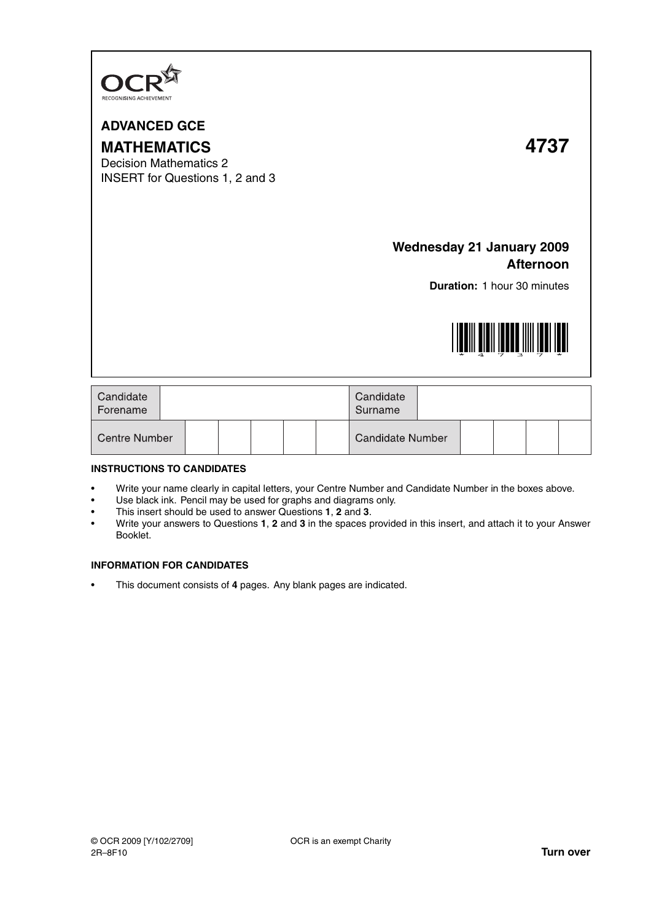

## **ADVANCED GCE**

# **MATHEMATICS 4737**

Decision Mathematics 2 INSERT for Questions 1, 2 and 3

### **Wednesday 21 January 2009 Afternoon**

**Duration:** 1 hour 30 minutes



| Candidate<br>Forename |  |  |  |  |  |  | Candidate<br>Surname |  |  |  |  |  |
|-----------------------|--|--|--|--|--|--|----------------------|--|--|--|--|--|
| <b>Centre Number</b>  |  |  |  |  |  |  | Candidate Number     |  |  |  |  |  |

#### **INSTRUCTIONS TO CANDIDATES**

- Write your name clearly in capital letters, your Centre Number and Candidate Number in the boxes above.
- Use black ink. Pencil may be used for graphs and diagrams only.
- This insert should be used to answer Questions **1**, **2** and **3**.
- Write your answers to Questions **1**, **2** and **3** in the spaces provided in this insert, and attach it to your Answer Booklet.

#### **INFORMATION FOR CANDIDATES**

• This document consists of **4** pages. Any blank pages are indicated.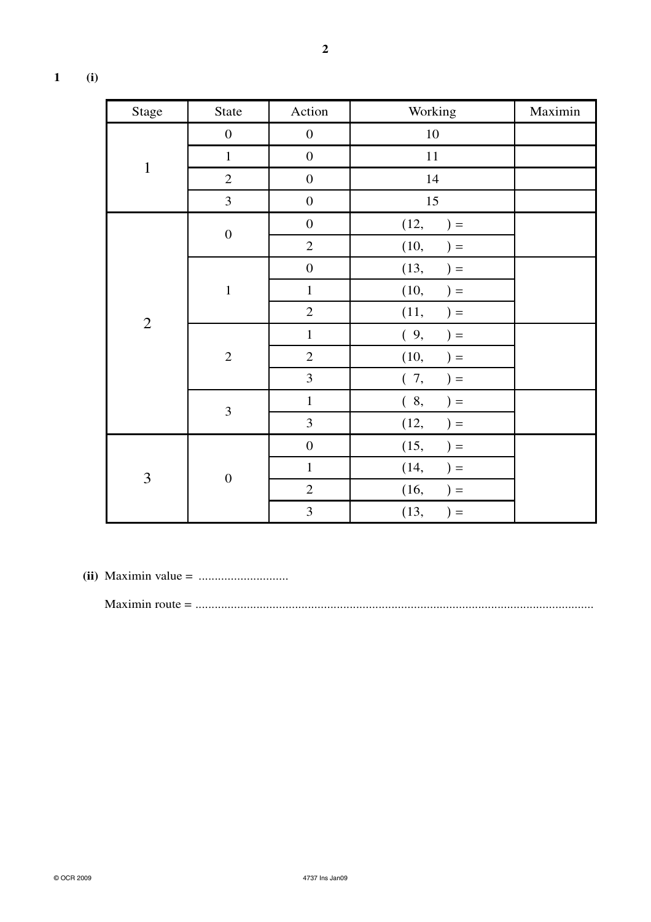| 1<br>, |
|--------|

| <b>Stage</b>   | <b>State</b>            | Action           | Working       | Maximin |
|----------------|-------------------------|------------------|---------------|---------|
|                | $\boldsymbol{0}$        | $\boldsymbol{0}$ | $10\,$        |         |
|                | $\mathbf 1$             | $\boldsymbol{0}$ | $11\,$        |         |
| $\mathbf{1}$   | $\sqrt{2}$              | $\boldsymbol{0}$ | 14            |         |
|                | 3                       | $\boldsymbol{0}$ | 15            |         |
|                | $\boldsymbol{0}$        | $\boldsymbol{0}$ | (12,<br>$) =$ |         |
|                |                         | $\sqrt{2}$       | (10,<br>$) =$ |         |
|                |                         | $\boldsymbol{0}$ | (13,<br>$) =$ |         |
|                | $\mathbf{1}$            | $\mathbf 1$      | (10,<br>$) =$ |         |
| $\sqrt{2}$     |                         | $\overline{2}$   | (11,<br>$) =$ |         |
|                |                         | $\mathbf 1$      | (9,<br>$) =$  |         |
|                | $\sqrt{2}$              | $\sqrt{2}$       | (10,<br>$) =$ |         |
|                |                         | 3                | (7,<br>$) =$  |         |
|                | $\overline{\mathbf{3}}$ | $\mathbf 1$      | (8,<br>$) =$  |         |
|                |                         | 3                | (12,<br>$) =$ |         |
| $\overline{3}$ |                         | $\boldsymbol{0}$ | (15,<br>$) =$ |         |
|                | $\boldsymbol{0}$        | $\mathbf{1}$     | (14,<br>$) =$ |         |
|                |                         | $\overline{2}$   | (16,<br>$) =$ |         |
|                |                         | $\overline{3}$   | (13,<br>$) =$ |         |

**(ii)** Maximin value = ............................

Maximin route = ............................................................................................................................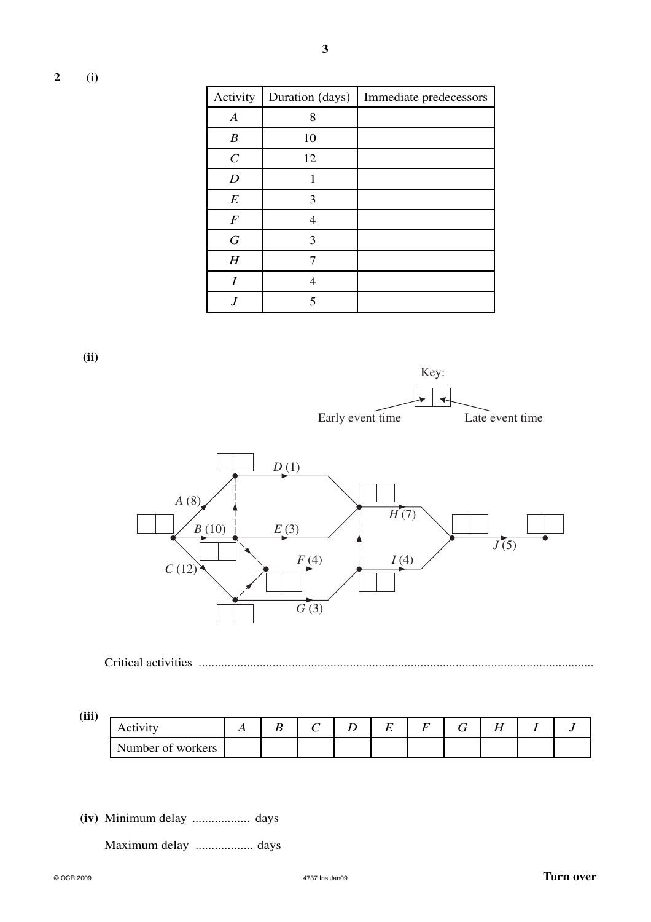| Activity         | Duration (days) | Immediate predecessors |
|------------------|-----------------|------------------------|
| $\boldsymbol{A}$ | 8               |                        |
| $\boldsymbol{B}$ | 10              |                        |
| $\mathcal{C}$    | 12              |                        |
| $\boldsymbol{D}$ |                 |                        |
| $\boldsymbol{E}$ | 3               |                        |
| $\boldsymbol{F}$ | 4               |                        |
| $\boldsymbol{G}$ | 3               |                        |
| H                |                 |                        |
| I                | 4               |                        |
|                  | 5               |                        |

**3**

**(ii)**





Critical activities ...........................................................................................................................

**(iii)**

| Activity          |  |  | – |  | $ -$<br> |  |
|-------------------|--|--|---|--|----------|--|
| Number of workers |  |  |   |  |          |  |

**(iv)** Minimum delay .................. days

Maximum delay .................. days